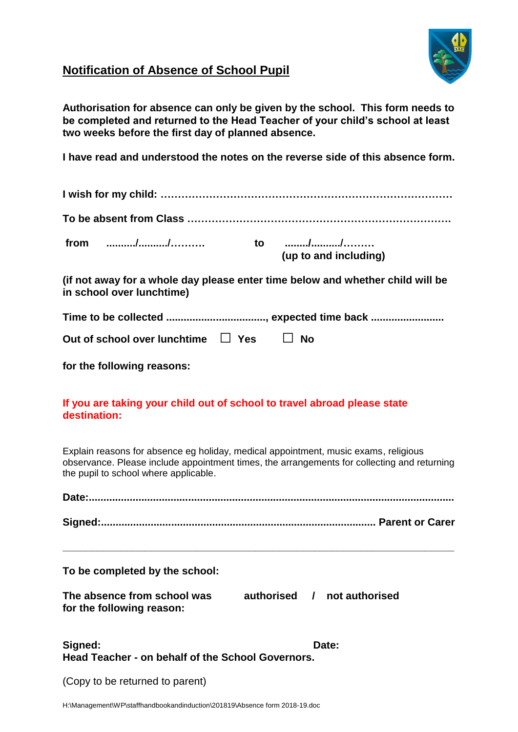

# **Notification of Absence of School Pupil**

**Authorisation for absence can only be given by the school. This form needs to be completed and returned to the Head Teacher of your child's school at least two weeks before the first day of planned absence.**

**I have read and understood the notes on the reverse side of this absence form.**

## **If you are taking your child out of school to travel abroad please state destination:**

Explain reasons for absence eg holiday, medical appointment, music exams, religious observance. Please include appointment times, the arrangements for collecting and returning the pupil to school where applicable.

**\_\_\_\_\_\_\_\_\_\_\_\_\_\_\_\_\_\_\_\_\_\_\_\_\_\_\_\_\_\_\_\_\_\_\_\_\_\_\_\_\_\_\_\_\_\_\_\_\_\_\_\_\_\_\_\_\_\_\_\_\_\_\_\_\_\_\_**

**To be completed by the school:** 

| The absence from school was | authorised | not authorised |
|-----------------------------|------------|----------------|
| for the following reason:   |            |                |

| Signed:                                           | Date: |
|---------------------------------------------------|-------|
| Head Teacher - on behalf of the School Governors. |       |

(Copy to be returned to parent)